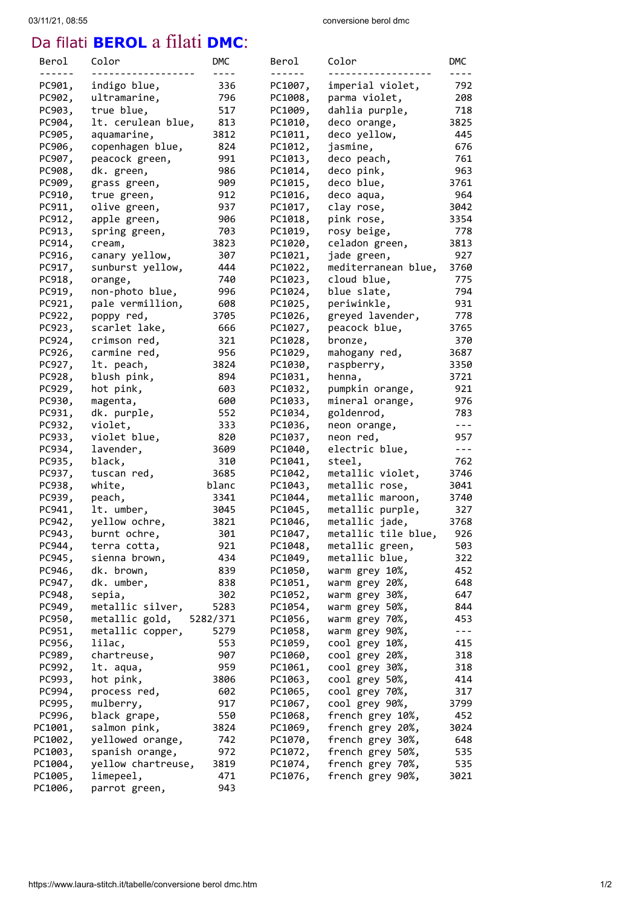## 03/11/21, 08:55 conversione berol dmc

## Da filati **BEROL** a filati **DMC**:

| Berol   | Color              | DMC      | Berol   | Color               | <b>DMC</b> |
|---------|--------------------|----------|---------|---------------------|------------|
|         |                    |          |         |                     |            |
| PC901,  | indigo blue,       | 336      | PC1007, | imperial violet,    | 792        |
| PC902,  | ultramarine,       | 796      | PC1008, | parma violet,       | 208        |
| PC903,  | true blue,         | 517      | PC1009, | dahlia purple,      | 718        |
| PC904,  | lt. cerulean blue, | 813      | PC1010, | deco orange,        | 3825       |
| PC905,  | aquamarine,        | 3812     | PC1011, | deco yellow,        | 445        |
| PC906,  | copenhagen blue,   | 824      | PC1012, | jasmine,            | 676        |
| PC907,  | peacock green,     | 991      | PC1013, | deco peach,         | 761        |
| PC908,  | dk. green,         | 986      | PC1014, | deco pink,          | 963        |
| PC909,  | grass green,       | 909      | PC1015, | deco blue,          | 3761       |
| PC910,  | true green,        | 912      | PC1016, | deco aqua,          | 964        |
| PC911,  | olive green,       | 937      | PC1017, | clay rose,          | 3042       |
| PC912,  | apple green,       | 906      | PC1018, | pink rose,          | 3354       |
| PC913,  | spring green,      | 703      | PC1019, | rosy beige,         | 778        |
| PC914,  | cream,             | 3823     | PC1020, | celadon green,      | 3813       |
| PC916,  | canary yellow,     | 307      | PC1021, | jade green,         | 927        |
| PC917,  |                    | 444      | PC1022, |                     | 3760       |
|         | sunburst yellow,   |          |         | mediterranean blue, |            |
| PC918,  | orange,            | 740      | PC1023, | cloud blue,         | 775        |
| PC919,  | non-photo blue,    | 996      | PC1024, | blue slate,         | 794        |
| PC921,  | pale vermillion,   | 608      | PC1025, | periwinkle,         | 931        |
| PC922,  | poppy red,         | 3705     | PC1026, | greyed lavender,    | 778        |
| PC923,  | scarlet lake,      | 666      | PC1027, | peacock blue,       | 3765       |
| PC924,  | crimson red,       | 321      | PC1028, | bronze,             | 370        |
| PC926,  | carmine red,       | 956      | PC1029, | mahogany red,       | 3687       |
| PC927,  | lt. peach,         | 3824     | PC1030, | raspberry,          | 3350       |
| PC928,  | blush pink,        | 894      | PC1031, | henna,              | 3721       |
| PC929,  | hot pink,          | 603      | PC1032, | pumpkin orange,     | 921        |
| PC930,  | magenta,           | 600      | PC1033, | mineral orange,     | 976        |
| PC931,  | dk. purple,        | 552      | PC1034, | goldenrod,          | 783        |
| PC932,  | violet,            | 333      | PC1036, | neon orange,        | $- - -$    |
| PC933,  | violet blue,       | 820      | PC1037, | neon red,           | 957        |
| PC934,  | lavender,          | 3609     | PC1040, | electric blue,      | $- - -$    |
| PC935,  | black,             | 310      | PC1041, | steel,              | 762        |
| PC937,  | tuscan red,        | 3685     | PC1042, | metallic violet,    | 3746       |
| PC938,  | white,             | blanc    | PC1043, | metallic rose,      | 3041       |
| PC939,  | peach,             | 3341     | PC1044, | metallic maroon,    | 3740       |
| PC941,  | lt. umber,         | 3045     | PC1045, | metallic purple,    | 327        |
| PC942,  | yellow ochre,      | 3821     | PC1046, | metallic jade,      | 3768       |
| PC943,  | burnt ochre,       | 301      | PC1047, | metallic tile blue, | 926        |
|         |                    |          |         |                     |            |
| PC944,  | terra cotta,       | 921      | PC1048, | metallic green,     | 503        |
| PC945,  | sienna brown,      | 434      | PC1049, | metallic blue,      | 322        |
| PC946,  | dk. brown,         | 839      | PC1050, | warm grey 10%,      | 452        |
| PC947,  | dk. umber,         | 838      | PC1051, | warm grey 20%,      | 648        |
| PC948,  | sepia,             | 302      | PC1052, | warm grey 30%,      | 647        |
| PC949,  | metallic silver,   | 5283     | PC1054, | warm grey 50%,      | 844        |
| PC950,  | metallic gold,     | 5282/371 | PC1056, | warm grey 70%,      | 453        |
| PC951,  | metallic copper,   | 5279     | PC1058, | warm grey 90%,      | $- - -$    |
| PC956,  | lilac,             | 553      | PC1059, | cool grey 10%,      | 415        |
| PC989,  | chartreuse,        | 907      | PC1060, | cool grey 20%,      | 318        |
| PC992,  | lt. aqua,          | 959      | PC1061, | cool grey 30%,      | 318        |
| PC993,  | hot pink,          | 3806     | PC1063, | cool grey 50%,      | 414        |
| PC994,  | process red,       | 602      | PC1065, | cool grey 70%,      | 317        |
| PC995,  | mulberry,          | 917      | PC1067, | cool grey 90%,      | 3799       |
| PC996,  | black grape,       | 550      | PC1068, | french grey 10%,    | 452        |
| PC1001, | salmon pink,       | 3824     | PC1069, | french grey 20%,    | 3024       |
| PC1002, | yellowed orange,   | 742      | PC1070, | french grey 30%,    | 648        |
| PC1003, | spanish orange,    | 972      | PC1072, | french grey 50%,    | 535        |
| PC1004, | yellow chartreuse, | 3819     | PC1074, | french grey 70%,    | 535        |
|         |                    |          |         |                     |            |
| PC1005, | limepeel,          | 471      | PC1076, | french grey 90%,    | 3021       |
| PC1006, | parrot green,      | 943      |         |                     |            |